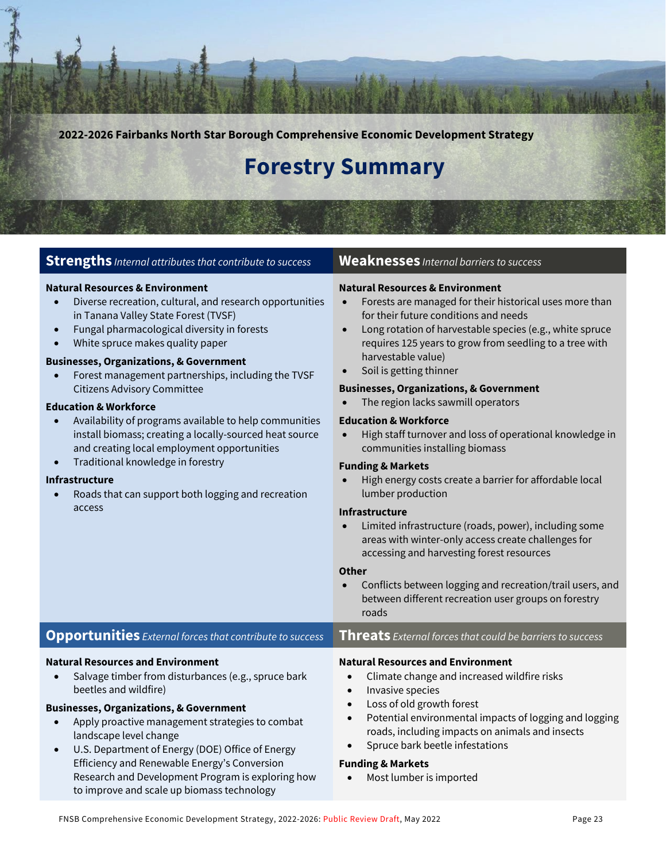**2022-2026 Fairbanks North Star Borough Comprehensive Economic Development Strategy**

# **Forestry Summary**

#### **Strengths** *Internal attributes that contribute to success* **Weaknesses** *Internal barriers to success*

#### **Natural Resources & Environment**

- Diverse recreation, cultural, and research opportunities in Tanana Valley State Forest (TVSF)
- Fungal pharmacological diversity in forests
- White spruce makes quality paper

#### **Businesses, Organizations, & Government**

• Forest management partnerships, including the TVSF Citizens Advisory Committee

#### **Education & Workforce**

- Availability of programs available to help communities install biomass; creating a locally-sourced heat source and creating local employment opportunities
- Traditional knowledge in forestry

#### **Infrastructure**

• Roads that can support both logging and recreation access

#### **Natural Resources & Environment**

- Forests are managed for their historical uses more than for their future conditions and needs
- Long rotation of harvestable species (e.g., white spruce requires 125 years to grow from seedling to a tree with harvestable value)
- Soil is getting thinner

#### **Businesses, Organizations, & Government**

• The region lacks sawmill operators

#### **Education & Workforce**

• High staff turnover and loss of operational knowledge in communities installing biomass

#### **Funding & Markets**

• High energy costs create a barrier for affordable local lumber production

#### **Infrastructure**

• Limited infrastructure (roads, power), including some areas with winter-only access create challenges for accessing and harvesting forest resources

#### **Other**

• Conflicts between logging and recreation/trail users, and between different recreation user groups on forestry roads

#### **Opportunities** *External forces that contribute to success* **Threats** *External forces that could be barriers to success*

#### **Natural Resources and Environment**

Salvage timber from disturbances (e.g., spruce bark beetles and wildfire)

#### **Businesses, Organizations, & Government**

- Apply proactive management strategies to combat landscape level change
- U.S. Department of Energy (DOE) Office of Energy Efficiency and Renewable Energy's Conversion Research and Development Program is exploring how to improve and scale up biomass technology

#### **Natural Resources and Environment**

- Climate change and increased wildfire risks
- Invasive species
- Loss of old growth forest
- Potential environmental impacts of logging and logging roads, including impacts on animals and insects
- Spruce bark beetle infestations

#### **Funding & Markets**

• Most lumber is imported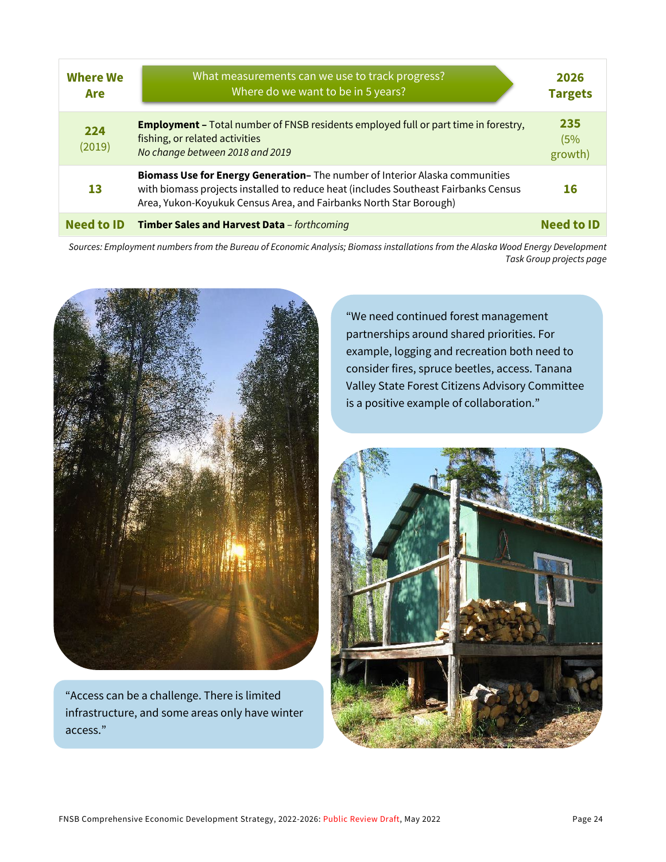| <b>Where We</b><br>Are | What measurements can we use to track progress?<br>Where do we want to be in 5 years?                                                                                                                                                     | 2026<br><b>Targets</b> |
|------------------------|-------------------------------------------------------------------------------------------------------------------------------------------------------------------------------------------------------------------------------------------|------------------------|
| 224<br>(2019)          | <b>Employment - Total number of FNSB residents employed full or part time in forestry,</b><br>fishing, or related activities<br>No change between 2018 and 2019                                                                           | 235<br>(5%<br>growth)  |
| 13                     | Biomass Use for Energy Generation- The number of Interior Alaska communities<br>with biomass projects installed to reduce heat (includes Southeast Fairbanks Census<br>Area, Yukon-Koyukuk Census Area, and Fairbanks North Star Borough) | 16                     |
| <b>Need to ID</b>      | Timber Sales and Harvest Data - forthcoming                                                                                                                                                                                               | <b>Need to ID</b>      |

*Sources: Employment numbers from the Bureau of Economic Analysis; Biomass installations from the Alaska Wood Energy Development Task Group projects page*



"Access can be a challenge. There is limited infrastructure, and some areas only have winter access."

"We need continued forest management partnerships around shared priorities. For example, logging and recreation both need to consider fires, spruce beetles, access. Tanana Valley State Forest Citizens Advisory Committee is a positive example of collaboration."

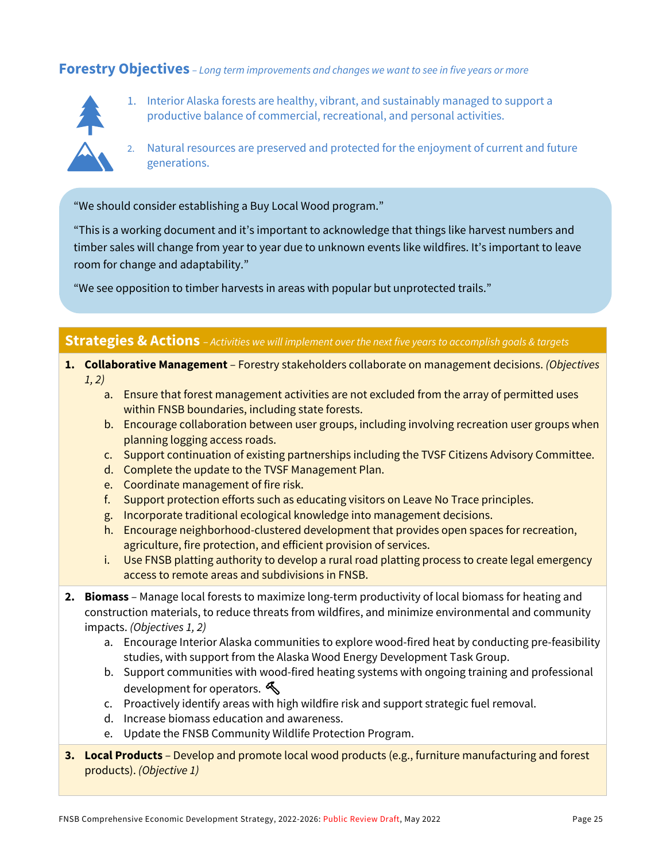### **Forestry Objectives** *– Long term improvements and changes we want to see in five years or more*



- 1. Interior Alaska forests are healthy, vibrant, and sustainably managed to support a productive balance of commercial, recreational, and personal activities.
- 2. Natural resources are preserved and protected for the enjoyment of current and future generations.

"We should consider establishing a Buy Local Wood program."

"This is a working document and it's important to acknowledge that things like harvest numbers and timber sales will change from year to year due to unknown events like wildfires. It's important to leave room for change and adaptability."

"We see opposition to timber harvests in areas with popular but unprotected trails."

#### **Strategies & Actions** – *Activities we will implement over the next five years to accomplish goals & targets*

- **1. Collaborative Management**  Forestry stakeholders collaborate on management decisions. *(Objectives 1, 2)*
	- a. Ensure that forest management activities are not excluded from the array of permitted uses within FNSB boundaries, including state forests.
	- b. Encourage collaboration between user groups, including involving recreation user groups when planning logging access roads.
	- c. Support continuation of existing partnerships including the TVSF Citizens Advisory Committee.
	- d. Complete the update to the TVSF Management Plan.
	- e. Coordinate management of fire risk.
	- f. Support protection efforts such as educating visitors on Leave No Trace principles.
	- g. Incorporate traditional ecological knowledge into management decisions.
	- h. Encourage neighborhood-clustered development that provides open spaces for recreation, agriculture, fire protection, and efficient provision of services.
	- i. Use FNSB platting authority to develop a rural road platting process to create legal emergency access to remote areas and subdivisions in FNSB.
- **2. Biomass**  Manage local forests to maximize long-term productivity of local biomass for heating and construction materials, to reduce threats from wildfires, and minimize environmental and community impacts. *(Objectives 1, 2)*
	- a. Encourage Interior Alaska communities to explore wood-fired heat by conducting pre-feasibility studies, with support from the Alaska Wood Energy Development Task Group.
	- b. Support communities with wood-fired heating systems with ongoing training and professional development for operators.
	- c. Proactively identify areas with high wildfire risk and support strategic fuel removal.
	- d. Increase biomass education and awareness.
	- e. Update the FNSB Community Wildlife Protection Program.
- **3. Local Products**  Develop and promote local wood products (e.g., furniture manufacturing and forest products). *(Objective 1)*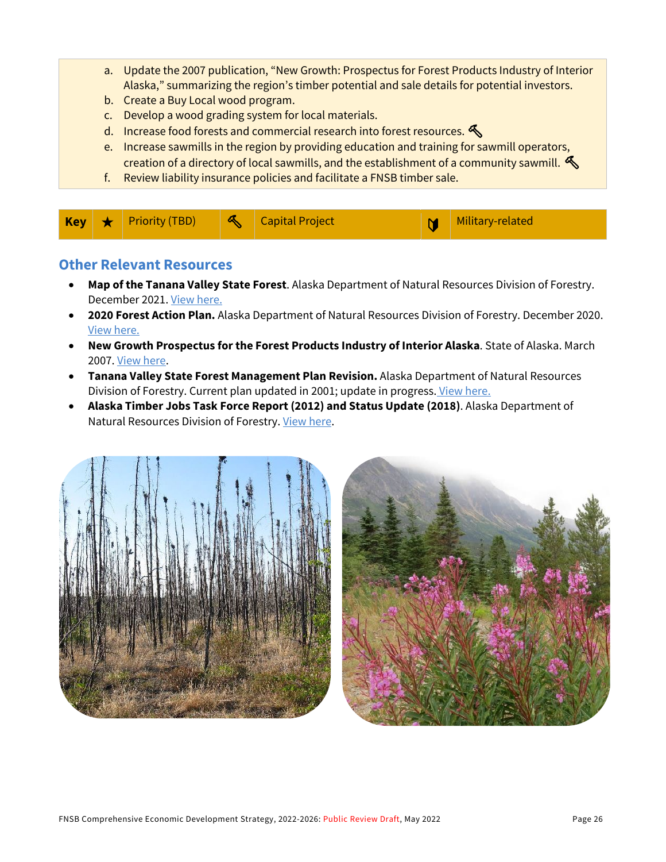- a. Update the 2007 publication, "New Growth: Prospectus for Forest Products Industry of Interior Alaska," summarizing the region's timber potential and sale details for potential investors.
- b. Create a Buy Local wood program.
- c. Develop a wood grading system for local materials.
- d. Increase food forests and commercial research into forest resources.  $\mathcal{L}$
- e. Increase sawmills in the region by providing education and training for sawmill operators, creation of a directory of local sawmills, and the establishment of a community sawmill.  $\mathcal{R}$
- f. Review liability insurance policies and facilitate a FNSB timber sale.

| Key <sub>1</sub> |  | Friority (TBD) | R | <b>Capital Project</b> | V | Military-related |
|------------------|--|----------------|---|------------------------|---|------------------|
|------------------|--|----------------|---|------------------------|---|------------------|

### **Other Relevant Resources**

- **Map of the Tanana Valley State Forest**. Alaska Department of Natural Resources Division of Forestry. December 2021. [View here.](http://forestry.alaska.gov/Assets/pdfs/stateforests/Tanana%20Valley%20State%20Forest%20map%20Dec%202021.pdf)
- **2020 Forest Action Plan.** Alaska Department of Natural Resources Division of Forestry. December 2020. [View here.](http://forestry.alaska.gov/2020ForestActionPlan.htm)
- **New Growth Prospectus for the Forest Products Industry of Interior Alaska**. State of Alaska. March 2007. [View here.](https://www.yumpu.com/en/document/read/8546463/new-growth-fairbanks-economic-development-corporation)
- **Tanana Valley State Forest Management Plan Revision.** Alaska Department of Natural Resources Division of Forestry. Current plan updated in 2001; update in progress. [View here.](http://forestry.alaska.gov/TVSFrevision)
- **Alaska Timber Jobs Task Force Report (2012) and Status Update (2018)**. Alaska Department of Natural Resources Division of Forestry. [View here.](http://forestry.alaska.gov/aktimber_jobs_taskforce.htm)



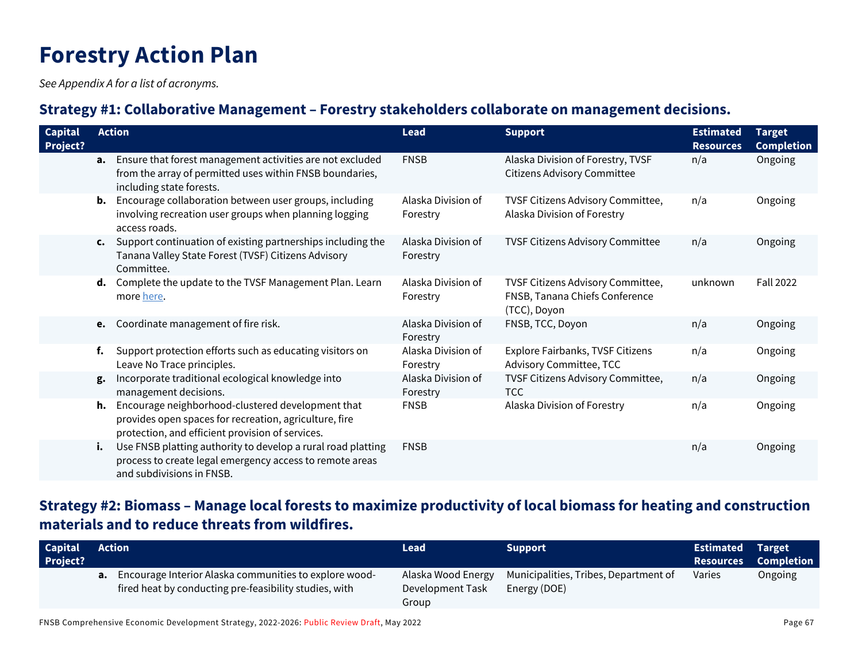# **Forestry Action Plan**

*See Appendix A for a list of acronyms.*

## **Strategy #1: Collaborative Management – Forestry stakeholders collaborate on management decisions.**

| <b>Capital</b><br><b>Project?</b> |    | <b>Action</b>                                                                                                                                                      | <b>Lead</b>                    | <b>Support</b>                                                                      | <b>Estimated</b><br><b>Resources</b> | <b>Target</b><br><b>Completion</b> |
|-----------------------------------|----|--------------------------------------------------------------------------------------------------------------------------------------------------------------------|--------------------------------|-------------------------------------------------------------------------------------|--------------------------------------|------------------------------------|
|                                   | а. | Ensure that forest management activities are not excluded<br>from the array of permitted uses within FNSB boundaries,<br>including state forests.                  | <b>FNSB</b>                    | Alaska Division of Forestry, TVSF<br><b>Citizens Advisory Committee</b>             | n/a                                  | Ongoing                            |
|                                   |    | <b>b.</b> Encourage collaboration between user groups, including<br>involving recreation user groups when planning logging<br>access roads.                        | Alaska Division of<br>Forestry | TVSF Citizens Advisory Committee,<br>Alaska Division of Forestry                    | n/a                                  | Ongoing                            |
|                                   |    | c. Support continuation of existing partnerships including the<br>Tanana Valley State Forest (TVSF) Citizens Advisory<br>Committee.                                | Alaska Division of<br>Forestry | TVSF Citizens Advisory Committee                                                    | n/a                                  | Ongoing                            |
|                                   |    | d. Complete the update to the TVSF Management Plan. Learn<br>more here.                                                                                            | Alaska Division of<br>Forestry | TVSF Citizens Advisory Committee,<br>FNSB, Tanana Chiefs Conference<br>(TCC), Doyon | unknown                              | <b>Fall 2022</b>                   |
|                                   | e. | Coordinate management of fire risk.                                                                                                                                | Alaska Division of<br>Forestry | FNSB, TCC, Doyon                                                                    | n/a                                  | Ongoing                            |
|                                   | f. | Support protection efforts such as educating visitors on<br>Leave No Trace principles.                                                                             | Alaska Division of<br>Forestry | Explore Fairbanks, TVSF Citizens<br><b>Advisory Committee, TCC</b>                  | n/a                                  | Ongoing                            |
|                                   | g. | Incorporate traditional ecological knowledge into<br>management decisions.                                                                                         | Alaska Division of<br>Forestry | TVSF Citizens Advisory Committee,<br><b>TCC</b>                                     | n/a                                  | Ongoing                            |
|                                   |    | h. Encourage neighborhood-clustered development that<br>provides open spaces for recreation, agriculture, fire<br>protection, and efficient provision of services. | <b>FNSB</b>                    | Alaska Division of Forestry                                                         | n/a                                  | Ongoing                            |
|                                   | i. | Use FNSB platting authority to develop a rural road platting<br>process to create legal emergency access to remote areas<br>and subdivisions in FNSB.              | <b>FNSB</b>                    |                                                                                     | n/a                                  | Ongoing                            |

# **Strategy #2: Biomass – Manage local forests to maximize productivity of local biomass for heating and construction materials and to reduce threats from wildfires.**

| <b>Capital</b><br><b>Project?</b> | Action                                                                                                                     | Lead                                            | <b>Support</b>                                        | <b>Estimated Target</b><br><b>Resources</b> | <b>Completion</b> |
|-----------------------------------|----------------------------------------------------------------------------------------------------------------------------|-------------------------------------------------|-------------------------------------------------------|---------------------------------------------|-------------------|
|                                   | <b>a.</b> Encourage Interior Alaska communities to explore wood-<br>fired heat by conducting pre-feasibility studies, with | Alaska Wood Energy<br>Development Task<br>Group | Municipalities, Tribes, Department of<br>Energy (DOE) | Varies                                      | Ongoing           |